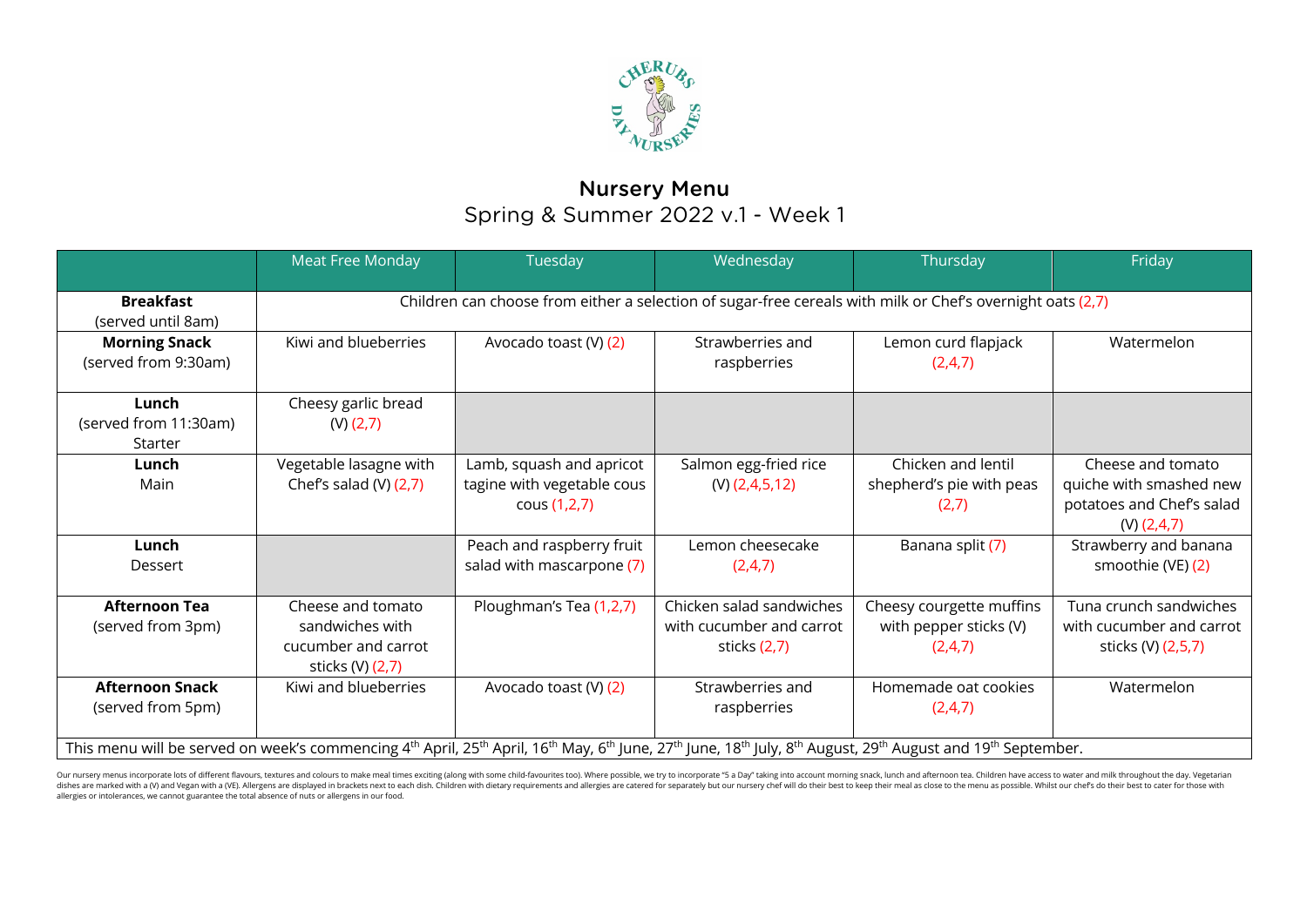

## Nursery Menu Spring & Summer 2022 v.1 - Week 1

|                                                                                                                                                                                                                                                                        | Meat Free Monday                                                                                           | Tuesday                                                                | Wednesday                                                              | Thursday                                                      | Friday                                                                                       |  |  |
|------------------------------------------------------------------------------------------------------------------------------------------------------------------------------------------------------------------------------------------------------------------------|------------------------------------------------------------------------------------------------------------|------------------------------------------------------------------------|------------------------------------------------------------------------|---------------------------------------------------------------|----------------------------------------------------------------------------------------------|--|--|
| <b>Breakfast</b><br>(served until 8am)                                                                                                                                                                                                                                 | Children can choose from either a selection of sugar-free cereals with milk or Chef's overnight oats (2,7) |                                                                        |                                                                        |                                                               |                                                                                              |  |  |
| <b>Morning Snack</b><br>(served from 9:30am)                                                                                                                                                                                                                           | Kiwi and blueberries                                                                                       | Avocado toast (V) (2)                                                  | Strawberries and<br>raspberries                                        | Lemon curd flapjack<br>(2,4,7)                                | Watermelon                                                                                   |  |  |
| Lunch<br>(served from 11:30am)<br>Starter                                                                                                                                                                                                                              | Cheesy garlic bread<br>$(V)$ $(2,7)$                                                                       |                                                                        |                                                                        |                                                               |                                                                                              |  |  |
| Lunch<br>Main                                                                                                                                                                                                                                                          | Vegetable lasagne with<br>Chef's salad (V) $(2,7)$                                                         | Lamb, squash and apricot<br>tagine with vegetable cous<br>cous (1,2,7) | Salmon egg-fried rice<br>$(V)$ (2,4,5,12)                              | Chicken and lentil<br>shepherd's pie with peas<br>(2,7)       | Cheese and tomato<br>quiche with smashed new<br>potatoes and Chef's salad<br>$(V)$ $(2,4,7)$ |  |  |
| Lunch<br>Dessert                                                                                                                                                                                                                                                       |                                                                                                            | Peach and raspberry fruit<br>salad with mascarpone (7)                 | Lemon cheesecake<br>(2,4,7)                                            | Banana split (7)                                              | Strawberry and banana<br>smoothie (VE) (2)                                                   |  |  |
| <b>Afternoon Tea</b><br>(served from 3pm)                                                                                                                                                                                                                              | Cheese and tomato<br>sandwiches with<br>cucumber and carrot<br>sticks (V) (2,7)                            | Ploughman's Tea (1,2,7)                                                | Chicken salad sandwiches<br>with cucumber and carrot<br>sticks $(2,7)$ | Cheesy courgette muffins<br>with pepper sticks (V)<br>(2,4,7) | Tuna crunch sandwiches<br>with cucumber and carrot<br>sticks (V) (2,5,7)                     |  |  |
| <b>Afternoon Snack</b><br>(served from 5pm)                                                                                                                                                                                                                            | Kiwi and blueberries                                                                                       | Avocado toast (V) (2)                                                  | Strawberries and<br>raspberries                                        | Homemade oat cookies<br>(2,4,7)                               | Watermelon                                                                                   |  |  |
| This menu will be served on week's commencing 4 <sup>th</sup> April, 25 <sup>th</sup> April, 16 <sup>th</sup> May, 6 <sup>th</sup> June, 27 <sup>th</sup> June, 18 <sup>th</sup> July, 8 <sup>th</sup> August, 29 <sup>th</sup> August and 19 <sup>th</sup> September. |                                                                                                            |                                                                        |                                                                        |                                                               |                                                                                              |  |  |

Our nursery menus incorporate lots of different flavours, textures and colours to make meal times exciting (along with some child-favourites too). Where possible, we try to incorporate "5 a Day" taking into account morning dishes are marked with a (V) and Vegan with a (VE). Allergens are displayed in brackets next to each dish. Children with dietary requirements and allergies are catered for separately but our nursery chef will do their best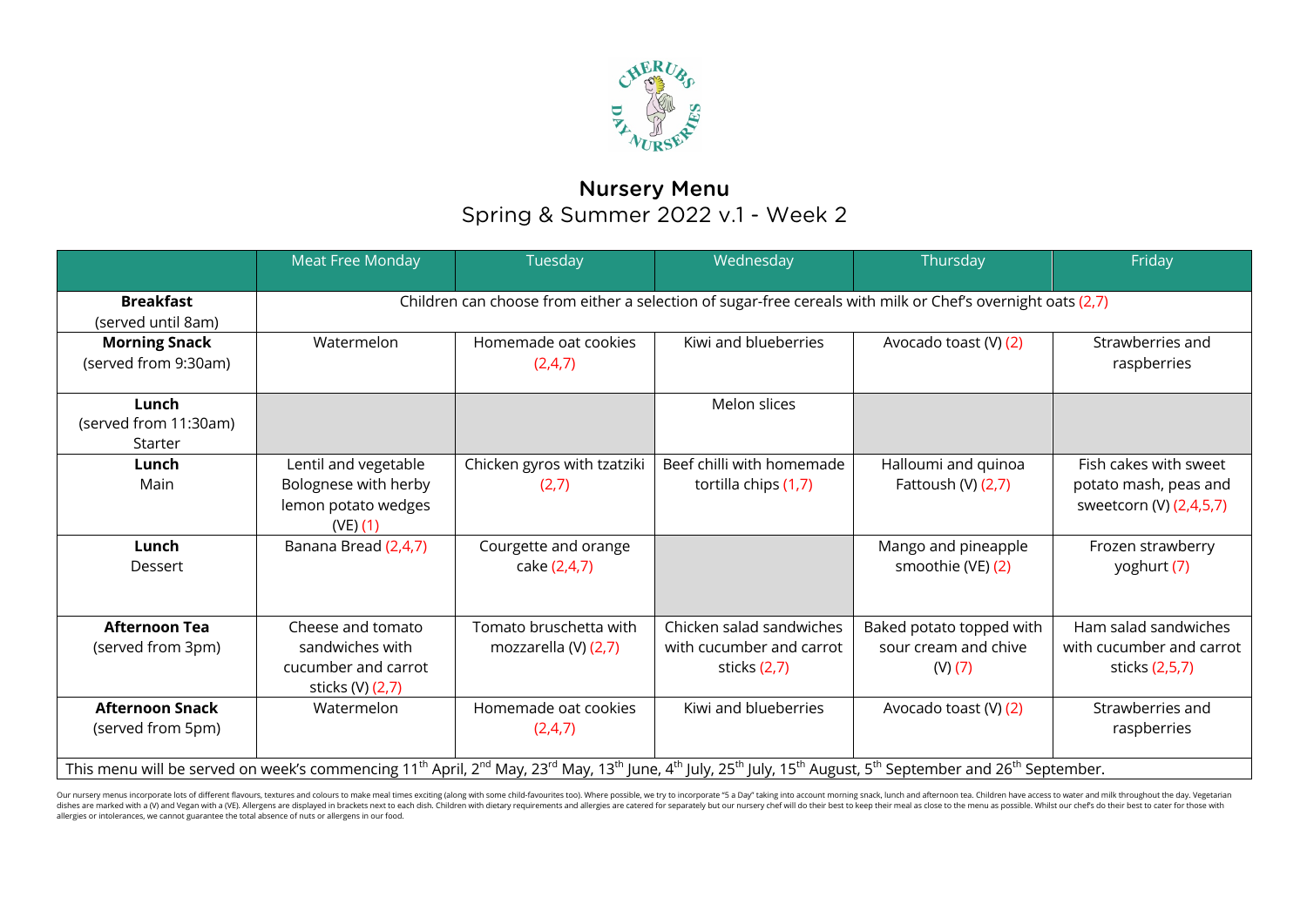

## Nursery Menu Spring & Summer 2022 v.1 - Week 2

|                                                                                                                                                                                                                                                                         | <b>Meat Free Monday</b>                                                                                    | Tuesday                                        | Wednesday                                                              | Thursday                                                    | Friday                                                                    |  |  |  |
|-------------------------------------------------------------------------------------------------------------------------------------------------------------------------------------------------------------------------------------------------------------------------|------------------------------------------------------------------------------------------------------------|------------------------------------------------|------------------------------------------------------------------------|-------------------------------------------------------------|---------------------------------------------------------------------------|--|--|--|
| <b>Breakfast</b><br>(served until 8am)                                                                                                                                                                                                                                  | Children can choose from either a selection of sugar-free cereals with milk or Chef's overnight oats (2,7) |                                                |                                                                        |                                                             |                                                                           |  |  |  |
| <b>Morning Snack</b><br>(served from 9:30am)                                                                                                                                                                                                                            | Watermelon                                                                                                 | Homemade oat cookies<br>(2,4,7)                | Kiwi and blueberries                                                   | Avocado toast (V) (2)                                       | Strawberries and<br>raspberries                                           |  |  |  |
| Lunch<br>(served from 11:30am)<br>Starter                                                                                                                                                                                                                               |                                                                                                            |                                                | Melon slices                                                           |                                                             |                                                                           |  |  |  |
| Lunch<br>Main                                                                                                                                                                                                                                                           | Lentil and vegetable<br>Bolognese with herby<br>lemon potato wedges<br>(VE) (1)                            | Chicken gyros with tzatziki<br>(2,7)           | Beef chilli with homemade<br>tortilla chips (1,7)                      | Halloumi and quinoa<br>Fattoush (V) (2,7)                   | Fish cakes with sweet<br>potato mash, peas and<br>sweetcorn (V) (2,4,5,7) |  |  |  |
| Lunch<br>Dessert                                                                                                                                                                                                                                                        | Banana Bread (2,4,7)                                                                                       | Courgette and orange<br>cake (2,4,7)           |                                                                        | Mango and pineapple<br>smoothie (VE) (2)                    | Frozen strawberry<br>yoghurt (7)                                          |  |  |  |
| <b>Afternoon Tea</b><br>(served from 3pm)                                                                                                                                                                                                                               | Cheese and tomato<br>sandwiches with<br>cucumber and carrot<br>sticks (V) (2,7)                            | Tomato bruschetta with<br>mozzarella (V) (2,7) | Chicken salad sandwiches<br>with cucumber and carrot<br>sticks $(2,7)$ | Baked potato topped with<br>sour cream and chive<br>(V) (7) | Ham salad sandwiches<br>with cucumber and carrot<br>sticks (2,5,7)        |  |  |  |
| <b>Afternoon Snack</b><br>(served from 5pm)                                                                                                                                                                                                                             | Watermelon                                                                                                 | Homemade oat cookies<br>(2,4,7)                | Kiwi and blueberries                                                   | Avocado toast (V) (2)                                       | Strawberries and<br>raspberries                                           |  |  |  |
| This menu will be served on week's commencing 11 <sup>th</sup> April, 2 <sup>nd</sup> May, 23 <sup>rd</sup> May, 13 <sup>th</sup> June, 4 <sup>th</sup> July, 25 <sup>th</sup> July, 15 <sup>th</sup> August, 5 <sup>th</sup> September and 26 <sup>th</sup> September. |                                                                                                            |                                                |                                                                        |                                                             |                                                                           |  |  |  |

Our nursery menus incorporate lots of different flavours, textures and colours to make meal times exciting (along with some child-favourites too). Where possible, we try to incorporate "5 a Day" taking into account morning allergies or intolerances, we cannot guarantee the total absence of nuts or allergens in our food.